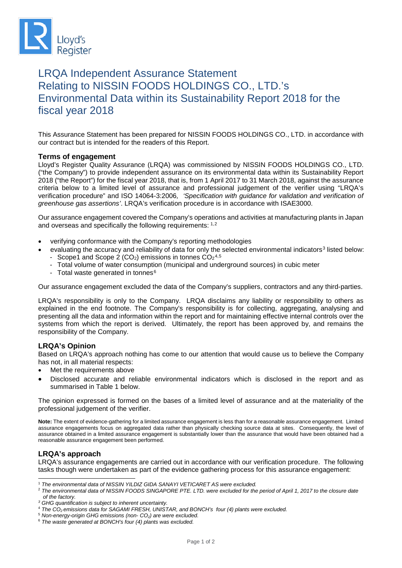

# LRQA Independent Assurance Statement Relating to NISSIN FOODS HOLDINGS CO., LTD.'s Environmental Data within its Sustainability Report 2018 for the fiscal year 2018

This Assurance Statement has been prepared for NISSIN FOODS HOLDINGS CO., LTD. in accordance with our contract but is intended for the readers of this Report.

# **Terms of engagement**

Lloyd's Register Quality Assurance (LRQA) was commissioned by NISSIN FOODS HOLDINGS CO., LTD. ("the Company") to provide independent assurance on its environmental data within its Sustainability Report 2018 ("the Report") for the fiscal year 2018, that is, from 1 April 2017 to 31 March 2018, against the assurance criteria below to a limited level of assurance and professional judgement of the verifier using "LRQA's verification procedure" and ISO 14064-3:2006*, 'Specification with guidance for validation and verification of greenhouse gas assertions'*. LRQA's verification procedure is in accordance with ISAE3000.

Our assurance engagement covered the Company's operations and activities at manufacturing plants in Japan and overseas and specifically the following requirements: [1](#page-0-0),[2](#page-0-1)

- verifying conformance with the Company's reporting methodologies
	- evaluating the accuracy and reliability of data for only the selected environmental indicators<sup>[3](#page-0-2)</sup> listed below: - Scope1 and Scope 2 (CO<sub>2</sub>) emissions in tonnes  $CO<sub>2</sub><sup>4,5</sup>$  $CO<sub>2</sub><sup>4,5</sup>$  $CO<sub>2</sub><sup>4,5</sup>$  $CO<sub>2</sub><sup>4,5</sup>$  $CO<sub>2</sub><sup>4,5</sup>$ 
		- Total volume of water consumption (municipal and underground sources) in cubic meter
		- Total waste generated in tonnes<sup>[6](#page-0-5)</sup>

Our assurance engagement excluded the data of the Company's suppliers, contractors and any third-parties.

LRQA's responsibility is only to the Company. LRQA disclaims any liability or responsibility to others as explained in the end footnote. The Company's responsibility is for collecting, aggregating, analysing and presenting all the data and information within the report and for maintaining effective internal controls over the systems from which the report is derived. Ultimately, the report has been approved by, and remains the responsibility of the Company.

# **LRQA's Opinion**

Based on LRQA's approach nothing has come to our attention that would cause us to believe the Company has not, in all material respects:

- Met the requirements above
- Disclosed accurate and reliable environmental indicators which is disclosed in the report and as summarised in Table 1 below.

The opinion expressed is formed on the bases of a limited level of assurance and at the materiality of the professional judgement of the verifier.

**Note:** The extent of evidence-gathering for a limited assurance engagement is less than for a reasonable assurance engagement. Limited assurance engagements focus on aggregated data rather than physically checking source data at sites. Consequently, the level of assurance obtained in a limited assurance engagement is substantially lower than the assurance that would have been obtained had a reasonable assurance engagement been performed.

# **LRQA's approach**

LRQA's assurance engagements are carried out in accordance with our verification procedure. The following tasks though were undertaken as part of the evidence gathering process for this assurance engagement:

 <sup>1</sup> *The environmental data of NISSIN YILDIZ GIDA SANAYI VETICARET AS were excluded.*

<span id="page-0-1"></span><span id="page-0-0"></span><sup>2</sup> *The environmental data of NISSIN FOODS SINGAPORE PTE. LTD. were excluded for the period of April 1, 2017 to the closure date of the factory.*

*<sup>3</sup> GHG quantification is subject to inherent uncertainty.*

<span id="page-0-3"></span><span id="page-0-2"></span><sup>4</sup> *The CO2 emissions data for SAGAMI FRESH, UNISTAR, and BONCH's four (4) plants were excluded.*

<span id="page-0-4"></span><sup>5</sup> *Non-energy-origin GHG emissions (non- CO2) are were excluded.*

<span id="page-0-5"></span><sup>6</sup> *The waste generated at BONCH's four (4) plants was excluded.*